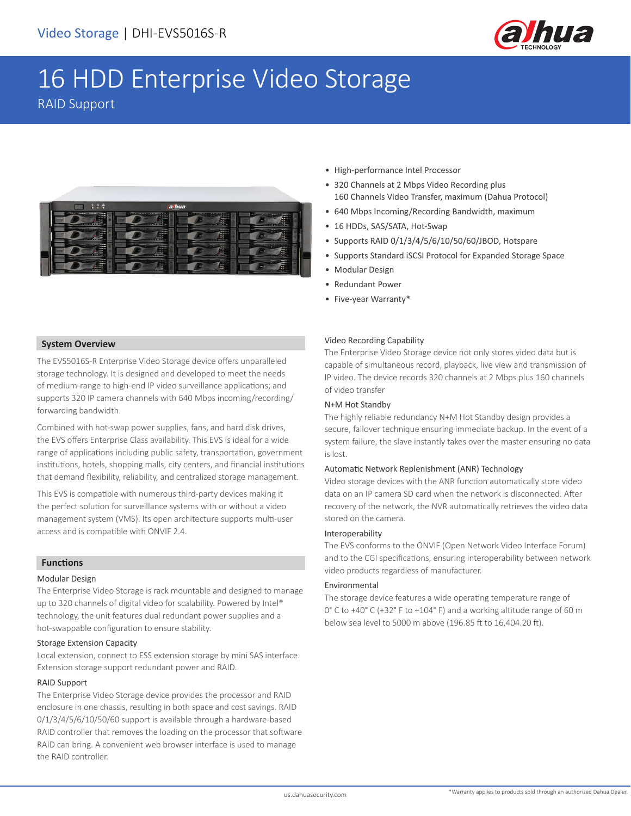

# 16 HDD Enterprise Video Storage

RAID Support



- High-performance Intel Processor
- 320 Channels at 2 Mbps Video Recording plus 160 Channels Video Transfer, maximum (Dahua Protocol)
- 640 Mbps Incoming/Recording Bandwidth, maximum
- 16 HDDs, SAS/SATA, Hot-Swap
- Supports RAID 0/1/3/4/5/6/10/50/60/JBOD, Hotspare
- Supports Standard iSCSI Protocol for Expanded Storage Space
- Modular Design
- Redundant Power
- Five-year Warranty\*

#### **System Overview**

The EVS5016S-R Enterprise Video Storage device offers unparalleled storage technology. It is designed and developed to meet the needs of medium-range to high-end IP video surveillance applications; and supports 320 IP camera channels with 640 Mbps incoming/recording/ forwarding bandwidth.

Combined with hot-swap power supplies, fans, and hard disk drives, the EVS offers Enterprise Class availability. This EVS is ideal for a wide range of applications including public safety, transportation, government institutions, hotels, shopping malls, city centers, and financial institutions that demand flexibility, reliability, and centralized storage management.

This EVS is compatible with numerous third-party devices making it the perfect solution for surveillance systems with or without a video management system (VMS). Its open architecture supports multi-user access and is compatible with ONVIF 2.4.

#### **Functions**

#### Modular Design

The Enterprise Video Storage is rack mountable and designed to manage up to 320 channels of digital video for scalability. Powered by Intel® technology, the unit features dual redundant power supplies and a hot-swappable configuration to ensure stability.

#### Storage Extension Capacity

Local extension, connect to ESS extension storage by mini SAS interface. Extension storage support redundant power and RAID.

#### RAID Support

The Enterprise Video Storage device provides the processor and RAID enclosure in one chassis, resulting in both space and cost savings. RAID 0/1/3/4/5/6/10/50/60 support is available through a hardware-based RAID controller that removes the loading on the processor that software RAID can bring. A convenient web browser interface is used to manage the RAID controller.

#### Video Recording Capability

The Enterprise Video Storage device not only stores video data but is capable of simultaneous record, playback, live view and transmission of IP video. The device records 320 channels at 2 Mbps plus 160 channels of video transfer

#### N+M Hot Standby

The highly reliable redundancy N+M Hot Standby design provides a secure, failover technique ensuring immediate backup. In the event of a system failure, the slave instantly takes over the master ensuring no data is lost.

#### Automatic Network Replenishment (ANR) Technology

Video storage devices with the ANR function automatically store video data on an IP camera SD card when the network is disconnected. After recovery of the network, the NVR automatically retrieves the video data stored on the camera.

#### Interoperability

The EVS conforms to the ONVIF (Open Network Video Interface Forum) and to the CGI specifications, ensuring interoperability between network video products regardless of manufacturer.

#### Environmental

The storage device features a wide operating temperature range of 0° C to +40° C (+32° F to +104° F) and a working altitude range of 60 m below sea level to 5000 m above (196.85 ft to 16,404.20 ft).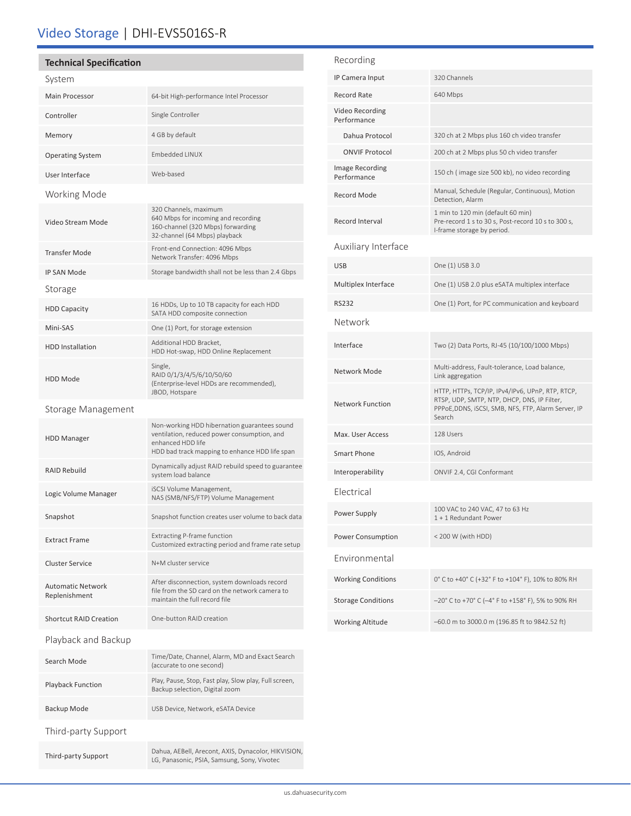## Video Storage | DHI-EVS5016S-R

### **Technical Specification**

| System                                    |                                                                                                                                                                    |  |
|-------------------------------------------|--------------------------------------------------------------------------------------------------------------------------------------------------------------------|--|
| <b>Main Processor</b>                     | 64-bit High-performance Intel Processor                                                                                                                            |  |
| Controller                                | Single Controller                                                                                                                                                  |  |
| Memory                                    | 4 GB by default                                                                                                                                                    |  |
| <b>Operating System</b>                   | <b>Embedded LINUX</b>                                                                                                                                              |  |
| User Interface                            | Web-based                                                                                                                                                          |  |
| Working Mode                              |                                                                                                                                                                    |  |
| Video Stream Mode                         | 320 Channels, maximum<br>640 Mbps for incoming and recording<br>160-channel (320 Mbps) forwarding<br>32-channel (64 Mbps) playback                                 |  |
| <b>Transfer Mode</b>                      | Front-end Connection: 4096 Mbps<br>Network Transfer: 4096 Mbps                                                                                                     |  |
| <b>IP SAN Mode</b>                        | Storage bandwidth shall not be less than 2.4 Gbps                                                                                                                  |  |
| Storage                                   |                                                                                                                                                                    |  |
| <b>HDD Capacity</b>                       | 16 HDDs, Up to 10 TB capacity for each HDD<br>SATA HDD composite connection                                                                                        |  |
| Mini-SAS                                  | One (1) Port, for storage extension                                                                                                                                |  |
| <b>HDD</b> Installation                   | Additional HDD Bracket,<br>HDD Hot-swap, HDD Online Replacement                                                                                                    |  |
| <b>HDD Mode</b>                           | Single,<br>RAID 0/1/3/4/5/6/10/50/60<br>(Enterprise-level HDDs are recommended),<br>JBOD, Hotspare                                                                 |  |
| Storage Management                        |                                                                                                                                                                    |  |
| <b>HDD Manager</b>                        | Non-working HDD hibernation guarantees sound<br>ventilation, reduced power consumption, and<br>enhanced HDD life<br>HDD bad track mapping to enhance HDD life span |  |
| <b>RAID Rebuild</b>                       | Dynamically adjust RAID rebuild speed to guarantee<br>system load balance                                                                                          |  |
| Logic Volume Manager                      | iSCSI Volume Management,<br>NAS (SMB/NFS/FTP) Volume Management                                                                                                    |  |
| Snapshot                                  | Snapshot function creates user volume to back data                                                                                                                 |  |
| <b>Extract Frame</b>                      | Extracting P-frame function<br>Customized extracting period and frame rate setup                                                                                   |  |
| <b>Cluster Service</b>                    | N+M cluster service                                                                                                                                                |  |
| <b>Automatic Network</b><br>Replenishment | After disconnection, system downloads record<br>file from the SD card on the network camera to<br>maintain the full record file                                    |  |
| <b>Shortcut RAID Creation</b>             | One-button RAID creation                                                                                                                                           |  |
| Playback and Backup                       |                                                                                                                                                                    |  |
| Search Mode                               | Time/Date, Channel, Alarm, MD and Exact Search<br>(accurate to one second)                                                                                         |  |
| <b>Playback Function</b>                  | Play, Pause, Stop, Fast play, Slow play, Full screen,<br>Backup selection, Digital zoom                                                                            |  |
| Backup Mode                               | USB Device, Network, eSATA Device                                                                                                                                  |  |
| Third-party Support                       |                                                                                                                                                                    |  |

Third-party Support Dahua, AEBell, Arecont, AXIS, Dynacolor, HIKVISION, LG, Panasonic, PSIA, Samsung, Sony, Vivotec

| Recording                      |                                                                                                                                                                  |  |
|--------------------------------|------------------------------------------------------------------------------------------------------------------------------------------------------------------|--|
| IP Camera Input                | 320 Channels                                                                                                                                                     |  |
| Record Rate                    | 640 Mbps                                                                                                                                                         |  |
| Video Recording<br>Performance |                                                                                                                                                                  |  |
| Dahua Protocol                 | 320 ch at 2 Mbps plus 160 ch video transfer                                                                                                                      |  |
| <b>ONVIF Protocol</b>          | 200 ch at 2 Mbps plus 50 ch video transfer                                                                                                                       |  |
| Image Recording<br>Performance | 150 ch (image size 500 kb), no video recording                                                                                                                   |  |
| Record Mode                    | Manual, Schedule (Regular, Continuous), Motion<br>Detection, Alarm                                                                                               |  |
| Record Interval                | 1 min to 120 min (default 60 min)<br>Pre-record 1 s to 30 s, Post-record 10 s to 300 s,<br>I-frame storage by period.                                            |  |
| Auxiliary Interface            |                                                                                                                                                                  |  |
| <b>USB</b>                     | One (1) USB 3.0                                                                                                                                                  |  |
| Multiplex Interface            | One (1) USB 2.0 plus eSATA multiplex interface                                                                                                                   |  |
| <b>RS232</b>                   | One (1) Port, for PC communication and keyboard                                                                                                                  |  |
| Network                        |                                                                                                                                                                  |  |
| Interface                      | Two (2) Data Ports, RJ-45 (10/100/1000 Mbps)                                                                                                                     |  |
| Network Mode                   | Multi-address, Fault-tolerance, Load balance,<br>Link aggregation                                                                                                |  |
| <b>Network Function</b>        | HTTP, HTTPs, TCP/IP, IPv4/IPv6, UPnP, RTP, RTCP,<br>RTSP, UDP, SMTP, NTP, DHCP, DNS, IP Filter,<br>PPPoE, DDNS, iSCSI, SMB, NFS, FTP, Alarm Server, IP<br>Search |  |
| Max. User Access               | 128 Users                                                                                                                                                        |  |
| Smart Phone                    | IOS, Android                                                                                                                                                     |  |
| Interoperability               | ONVIF 2.4, CGI Conformant                                                                                                                                        |  |
| Electrical                     |                                                                                                                                                                  |  |
| Power Supply                   | 100 VAC to 240 VAC, 47 to 63 Hz<br>1 + 1 Redundant Power                                                                                                         |  |
| Power Consumption              | < 200 W (with HDD)                                                                                                                                               |  |
| Environmental                  |                                                                                                                                                                  |  |
| <b>Working Conditions</b>      | 0° C to +40° C (+32° F to +104° F), 10% to 80% RH                                                                                                                |  |
| <b>Storage Conditions</b>      | -20° C to +70° C (-4° F to +158° F), 5% to 90% RH                                                                                                                |  |
| <b>Working Altitude</b>        | -60.0 m to 3000.0 m (196.85 ft to 9842.52 ft)                                                                                                                    |  |